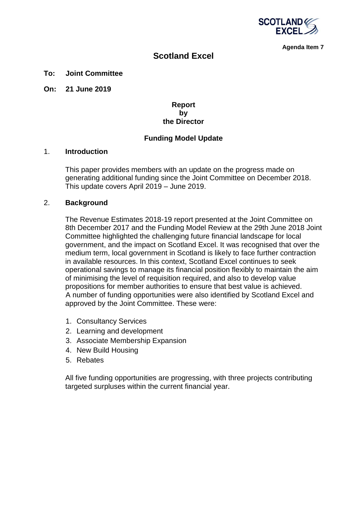

**Agenda Item 7**

# **Scotland Excel**

#### **To: Joint Committee**

**On: 21 June 2019**

### **Report by the Director**

### **Funding Model Update**

#### 1. **Introduction**

This paper provides members with an update on the progress made on generating additional funding since the Joint Committee on December 2018. This update covers April 2019 – June 2019.

#### 2. **Background**

The Revenue Estimates 2018-19 report presented at the Joint Committee on 8th December 2017 and the Funding Model Review at the 29th June 2018 Joint Committee highlighted the challenging future financial landscape for local government, and the impact on Scotland Excel. It was recognised that over the medium term, local government in Scotland is likely to face further contraction in available resources. In this context, Scotland Excel continues to seek operational savings to manage its financial position flexibly to maintain the aim of minimising the level of requisition required, and also to develop value propositions for member authorities to ensure that best value is achieved. A number of funding opportunities were also identified by Scotland Excel and approved by the Joint Committee. These were:

- 1. Consultancy Services
- 2. Learning and development
- 3. Associate Membership Expansion
- 4. New Build Housing
- 5. Rebates

All five funding opportunities are progressing, with three projects contributing targeted surpluses within the current financial year.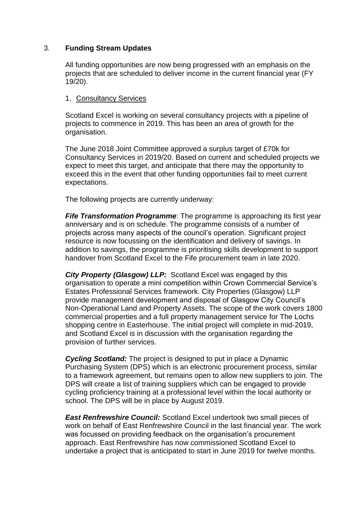# 3. **Funding Stream Updates**

All funding opportunities are now being progressed with an emphasis on the projects that are scheduled to deliver income in the current financial year (FY 19/20).

# 1. Consultancy Services

Scotland Excel is working on several consultancy projects with a pipeline of projects to commence in 2019. This has been an area of growth for the organisation.

The June 2018 Joint Committee approved a surplus target of £70k for Consultancy Services in 2019/20. Based on current and scheduled projects we expect to meet this target, and anticipate that there may the opportunity to exceed this in the event that other funding opportunities fail to meet current expectations.

The following projects are currently underway:

*Fife Transformation Programme*: The programme is approaching its first year anniversary and is on schedule. The programme consists of a number of projects across many aspects of the council's operation. Significant project resource is now focussing on the identification and delivery of savings. In addition to savings, the programme is prioritising skills development to support handover from Scotland Excel to the Fife procurement team in late 2020.

*City Property (Glasgow) LLP:* Scotland Excel was engaged by this organisation to operate a mini competition within Crown Commercial Service's Estates Professional Services framework. City Properties (Glasgow) LLP provide management development and disposal of Glasgow City Council's Non-Operational Land and Property Assets. The scope of the work covers 1800 commercial properties and a full property management service for The Lochs shopping centre in Easterhouse. The initial project will complete in mid-2019, and Scotland Excel is in discussion with the organisation regarding the provision of further services.

*Cycling Scotland:* The project is designed to put in place a Dynamic Purchasing System (DPS) which is an electronic procurement process, similar to a framework agreement, but remains open to allow new suppliers to join. The DPS will create a list of training suppliers which can be engaged to provide cycling proficiency training at a professional level within the local authority or school. The DPS will be in place by August 2019.

**East Renfrewshire Council:** Scotland Excel undertook two small pieces of work on behalf of East Renfrewshire Council in the last financial year. The work was focussed on providing feedback on the organisation's procurement approach. East Renfrewshire has now commissioned Scotland Excel to undertake a project that is anticipated to start in June 2019 for twelve months.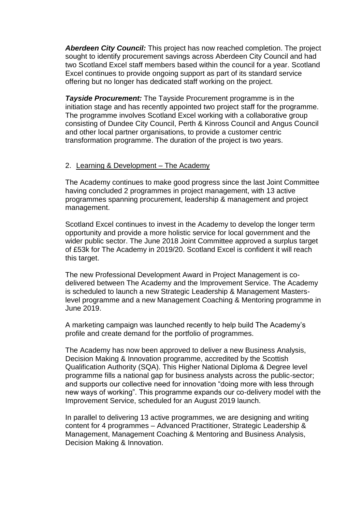*Aberdeen City Council:* This project has now reached completion. The project sought to identify procurement savings across Aberdeen City Council and had two Scotland Excel staff members based within the council for a year. Scotland Excel continues to provide ongoing support as part of its standard service offering but no longer has dedicated staff working on the project.

*Tayside Procurement:* The Tayside Procurement programme is in the initiation stage and has recently appointed two project staff for the programme. The programme involves Scotland Excel working with a collaborative group consisting of Dundee City Council, Perth & Kinross Council and Angus Council and other local partner organisations, to provide a customer centric transformation programme. The duration of the project is two years.

### 2. Learning & Development - The Academy

The Academy continues to make good progress since the last Joint Committee having concluded 2 programmes in project management, with 13 active programmes spanning procurement, leadership & management and project management.

Scotland Excel continues to invest in the Academy to develop the longer term opportunity and provide a more holistic service for local government and the wider public sector. The June 2018 Joint Committee approved a surplus target of £53k for The Academy in 2019/20. Scotland Excel is confident it will reach this target.

The new Professional Development Award in Project Management is codelivered between The Academy and the Improvement Service. The Academy is scheduled to launch a new Strategic Leadership & Management Masterslevel programme and a new Management Coaching & Mentoring programme in June 2019.

A marketing campaign was launched recently to help build The Academy's profile and create demand for the portfolio of programmes.

The Academy has now been approved to deliver a new Business Analysis, Decision Making & Innovation programme, accredited by the Scottish Qualification Authority (SQA). This Higher National Diploma & Degree level programme fills a national gap for business analysts across the public-sector; and supports our collective need for innovation "doing more with less through new ways of working". This programme expands our co-delivery model with the Improvement Service, scheduled for an August 2019 launch.

In parallel to delivering 13 active programmes, we are designing and writing content for 4 programmes – Advanced Practitioner, Strategic Leadership & Management, Management Coaching & Mentoring and Business Analysis, Decision Making & Innovation.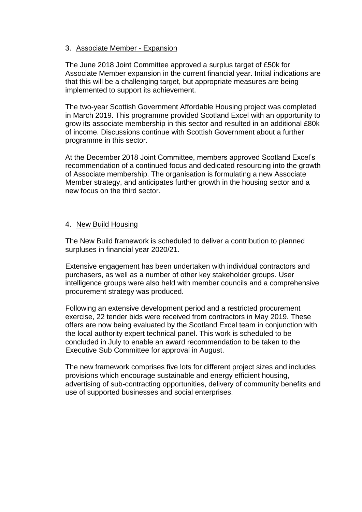# 3. Associate Member - Expansion

The June 2018 Joint Committee approved a surplus target of £50k for Associate Member expansion in the current financial year. Initial indications are that this will be a challenging target, but appropriate measures are being implemented to support its achievement.

The two-year Scottish Government Affordable Housing project was completed in March 2019. This programme provided Scotland Excel with an opportunity to grow its associate membership in this sector and resulted in an additional £80k of income. Discussions continue with Scottish Government about a further programme in this sector.

At the December 2018 Joint Committee, members approved Scotland Excel's recommendation of a continued focus and dedicated resourcing into the growth of Associate membership. The organisation is formulating a new Associate Member strategy, and anticipates further growth in the housing sector and a new focus on the third sector.

### 4. New Build Housing

The New Build framework is scheduled to deliver a contribution to planned surpluses in financial year 2020/21.

Extensive engagement has been undertaken with individual contractors and purchasers, as well as a number of other key stakeholder groups. User intelligence groups were also held with member councils and a comprehensive procurement strategy was produced.

Following an extensive development period and a restricted procurement exercise, 22 tender bids were received from contractors in May 2019. These offers are now being evaluated by the Scotland Excel team in conjunction with the local authority expert technical panel. This work is scheduled to be concluded in July to enable an award recommendation to be taken to the Executive Sub Committee for approval in August.

The new framework comprises five lots for different project sizes and includes provisions which encourage sustainable and energy efficient housing, advertising of sub-contracting opportunities, delivery of community benefits and use of supported businesses and social enterprises.